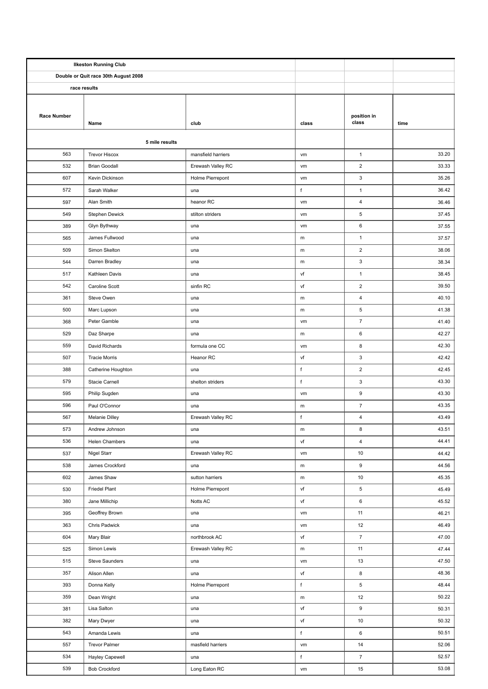| <b>Ilkeston Running Club</b>         |                      |                    |             |                           |       |
|--------------------------------------|----------------------|--------------------|-------------|---------------------------|-------|
| Double or Quit race 30th August 2008 |                      |                    |             |                           |       |
| race results                         |                      |                    |             |                           |       |
|                                      |                      |                    |             |                           |       |
| <b>Race Number</b>                   |                      |                    |             | position in               |       |
|                                      | Name                 | club               | class       | class                     | time  |
| 5 mile results                       |                      |                    |             |                           |       |
| 563                                  | <b>Trevor Hiscox</b> | mansfield harriers | vm          | $\mathbf{1}$              | 33.20 |
| 532                                  | <b>Brian Goodall</b> | Erewash Valley RC  | vm          | $\overline{2}$            | 33.33 |
| 607                                  | Kevin Dickinson      | Holme Pierrepont   | vm          | $\ensuremath{\mathsf{3}}$ | 35.26 |
| 572                                  | Sarah Walker         | una                | $\sf f$     | $\mathbf{1}$              | 36.42 |
| 597                                  | Alan Smith           | heanor RC          | vm          | $\overline{4}$            | 36.46 |
| 549                                  | Stephen Dewick       | stilton striders   | vm          | 5                         | 37.45 |
| 389                                  | Glyn Bythway         | una                | vm          | 6                         | 37.55 |
| 565                                  | James Fullwood       | una                | ${\sf m}$   | $\mathbf{1}$              | 37.57 |
| 509                                  | Simon Skelton        |                    |             | $\mathbf 2$               | 38.06 |
| 544                                  | Darren Bradley       | una<br>una         | ${\sf m}$   | 3                         | 38.34 |
|                                      |                      |                    | m           |                           |       |
| 517                                  | Kathleen Davis       | una                | vf          | $\mathbf{1}$              | 38.45 |
| 542                                  | Caroline Scott       | sinfin RC          | vf          | $\overline{2}$            | 39.50 |
| 361                                  | Steve Owen           | una                | m           | $\overline{4}$            | 40.10 |
| 500                                  | Marc Lupson          | una                | ${\sf m}$   | 5                         | 41.38 |
| 368                                  | Peter Gamble         | una                | vm          | $\boldsymbol{7}$          | 41.40 |
| 529                                  | Daz Sharpe           | una                | ${\sf m}$   | 6                         | 42.27 |
| 559                                  | David Richards       | formula one CC     | vm          | 8                         | 42.30 |
| 507                                  | <b>Tracie Morris</b> | Heanor RC          | vf          | 3                         | 42.42 |
| 388                                  | Catherine Houghton   | una                | $\sf f$     | $\overline{2}$            | 42.45 |
| 579                                  | Stacie Carnell       | shelton striders   | $\sf f$     | $\ensuremath{\mathsf{3}}$ | 43.30 |
| 595                                  | Philip Sugden        | una                | vm          | 9                         | 43.30 |
| 596                                  | Paul O'Connor        | una                | m           | $\overline{7}$            | 43.35 |
| 567                                  | Melanie Dilley       | Erewash Valley RC  | f           | 4                         | 43.49 |
| 573                                  | Andrew Johnson       | una                | m           | 8                         | 43.51 |
| 536                                  | Helen Chambers       | una                | vf          | 4                         | 44.41 |
| 537                                  | Nigel Starr          | Erewash Valley RC  | vm          | $10\,$                    | 44.42 |
| 538                                  | James Crockford      | una                | ${\sf m}$   | $\boldsymbol{9}$          | 44.56 |
| 602                                  | James Shaw           | sutton harriers    | ${\sf m}$   | $10$                      | 45.35 |
| 530                                  | <b>Friedel Plant</b> | Holme Pierrepont   | vf          | $\,$ 5 $\,$               | 45.49 |
| 380                                  | Jane Millichip       | Notts AC           | vf          | 6                         | 45.52 |
| 395                                  | Geoffrey Brown       | una                | vm          | 11                        | 46.21 |
| 363                                  | Chris Padwick        | una                | vm          | $12\,$                    | 46.49 |
| 604                                  | Mary Blair           | northbrook AC      | vf          | $\boldsymbol{7}$          | 47.00 |
| 525                                  | Simon Lewis          | Erewash Valley RC  | ${\sf m}$   | 11                        | 47.44 |
| 515                                  | Steve Saunders       | una                | vm          | 13                        | 47.50 |
| 357                                  | Alison Allen         | una                | vf          | 8                         | 48.36 |
| 393                                  | Donna Kelly          | Holme Pierrepont   | $\mathsf f$ | $\,$ 5 $\,$               | 48.44 |
| 359                                  | Dean Wright          | una                | m           | 12                        | 50.22 |
| 381                                  | Lisa Salton          | una                | vf          | 9                         | 50.31 |
| 382                                  | Mary Dwyer           | una                | vf          | $10\,$                    | 50.32 |
| 543                                  | Amanda Lewis         | una                | $\mathsf f$ | $\,6\,$                   | 50.51 |
| 557                                  | Trevor Palmer        | masfield harriers  | vm          | 14                        | 52.06 |
| 534                                  | Hayley Capewell      | una                | f           | $\boldsymbol{7}$          | 52.57 |
| 539                                  | <b>Bob Crockford</b> | Long Eaton RC      | vm          | 15                        | 53.08 |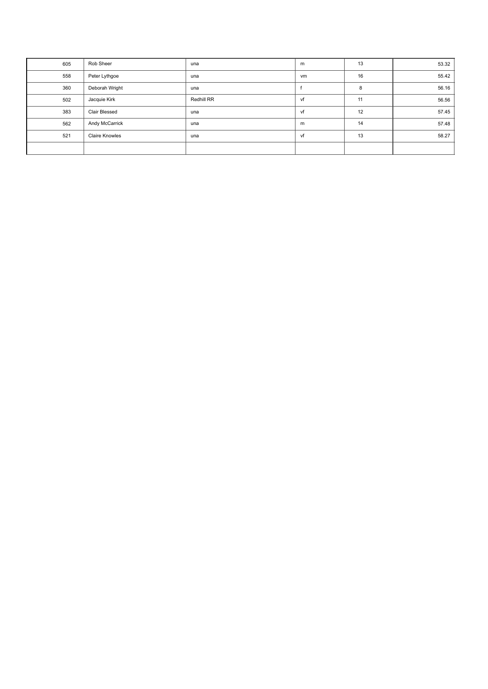| 605 | Rob Sheer             | una        | m  | 13 | 53.32 |
|-----|-----------------------|------------|----|----|-------|
| 558 | Peter Lythgoe         | una        | vm | 16 | 55.42 |
| 360 | Deborah Wright        | una        |    | 8  | 56.16 |
| 502 | Jacquie Kirk          | Redhill RR | vf | 11 | 56.56 |
| 383 | Clair Blessed         | una        | vf | 12 | 57.45 |
| 562 | Andy McCarrick        | una        | m  | 14 | 57.48 |
| 521 | <b>Claire Knowles</b> | una        | vf | 13 | 58.27 |
|     |                       |            |    |    |       |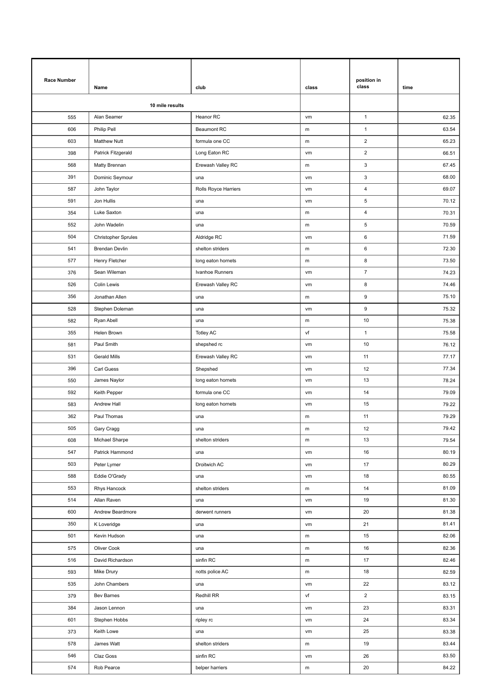| <b>Race Number</b> |                            |                      |           | position in               |       |
|--------------------|----------------------------|----------------------|-----------|---------------------------|-------|
|                    | Name                       | club                 | class     | class                     | time  |
| 10 mile results    |                            |                      |           |                           |       |
| 555                | Alan Seamer                | Heanor RC            | vm        | $\mathbf{1}$              | 62.35 |
| 606                | Philip Pell                | <b>Beaumont RC</b>   | m         | $\mathbf{1}$              | 63.54 |
| 603                | <b>Matthew Nutt</b>        | formula one CC       | m         | $\mathbf 2$               | 65.23 |
| 398                | Patrick Fitzgerald         | Long Eaton RC        | vm        | $\overline{2}$            | 66.51 |
| 568                | Matty Brennan              | Erewash Valley RC    | ${\sf m}$ | $\ensuremath{\mathsf{3}}$ | 67.45 |
| 391                | Dominic Seymour            | una                  | vm        | 3                         | 68.00 |
| 587                | John Taylor                | Rolls Royce Harriers | vm        | $\overline{4}$            | 69.07 |
| 591                | Jon Hullis                 | una                  | vm        | 5                         | 70.12 |
| 354                | Luke Saxton                | una                  | m         | 4                         | 70.31 |
| 552                | John Wadelin               | una                  | ${\sf m}$ | $\sqrt{5}$                | 70.59 |
| 504                | <b>Christopher Sprules</b> | Aldridge RC          | vm        | $\,6\,$                   | 71.59 |
| 541                | Brendan Devlin             | shelton striders     | m         | 6                         | 72.30 |
| 577                | Henry Fletcher             | long eaton hornets   | m         | 8                         | 73.50 |
| 376                | Sean Wileman               | Ivanhoe Runners      | vm        | $\overline{7}$            | 74.23 |
| 526                | Colin Lewis                | Erewash Valley RC    | vm        | 8                         | 74.46 |
| 356                | Jonathan Allen             | una                  | m         | 9                         | 75.10 |
| 528                | Stephen Doleman            | una                  | vm        | $\boldsymbol{9}$          | 75.32 |
| 582                | Ryan Abell                 | una                  | m         | 10                        | 75.38 |
| 355                | Helen Brown                | <b>Totley AC</b>     | vf        | $\mathbf{1}$              | 75.58 |
| 581                | Paul Smith                 | shepshed rc          | vm        | 10                        | 76.12 |
| 531                | Gerald Mills               | Erewash Valley RC    | vm        | 11                        | 77.17 |
| 396                | Carl Guess                 | Shepshed             | vm        | 12                        | 77.34 |
| 550                | James Naylor               | long eaton hornets   | vm        | 13                        | 78.24 |
| 592                | Keith Pepper               | formula one CC       | vm        | 14                        | 79.09 |
| 583                | Andrew Hall                | long eaton hornets   | vm        | 15                        | 79.22 |
| 362                | Paul Thomas                | una                  | m         | 11                        | 79.29 |
| 505                | Gary Cragg                 | una                  | ${\sf m}$ | 12                        | 79.42 |
| 608                | Michael Sharpe             | shelton striders     | ${\sf m}$ | 13                        | 79.54 |
| 547                | Patrick Hammond            | una                  | vm        | 16                        | 80.19 |
| 503                | Peter Lymer                | Droitwich AC         | vm        | 17                        | 80.29 |
| 588                | Eddie O'Grady              | una                  | vm        | 18                        | 80.55 |
| 553                | Rhys Hancock               | shelton striders     | m         | 14                        | 81.09 |
| 514                | Allan Raven                | una                  | vm        | 19                        | 81.30 |
| 600                | Andrew Beardmore           | derwent runners      | vm        | 20                        | 81.38 |
| 350                | K Loveridge                | una                  | vm        | 21                        | 81.41 |
| 501                | Kevin Hudson               | una                  | m         | 15                        | 82.06 |
| 575                | Oliver Cook                | una                  | ${\sf m}$ | 16                        | 82.36 |
| 516                | David Richardson           | sinfin RC            | m         | 17                        | 82.46 |
| 593                | Mike Drury                 | notts police AC      | m         | 18                        | 82.59 |
| 535                | John Chambers              | una                  | vm        | 22                        | 83.12 |
| 379                | Bev Barnes                 | Redhill RR           | vf        | $\overline{2}$            | 83.15 |
| 384                | Jason Lennon               | una                  | vm        | 23                        | 83.31 |
| 601                | Stephen Hobbs              | ripley rc            | vm        | 24                        | 83.34 |
| 373                | Keith Lowe                 | una                  | vm        | 25                        | 83.38 |
| 578                | James Watt                 | shelton striders     | m         | 19                        | 83.44 |
| 546                | Claz Goss                  | sinfin RC            | vm        | 26                        | 83.50 |
| 574                | Rob Pearce                 | belper harriers      | ${\sf m}$ | 20                        | 84.22 |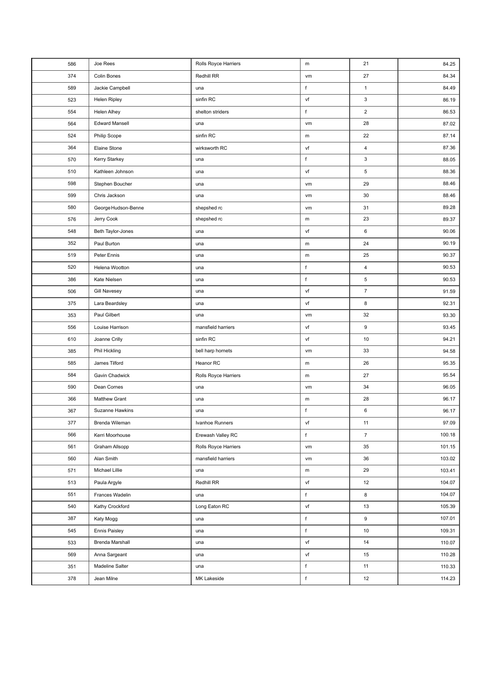| 586 | Joe Rees              | Rolls Royce Harriers | ${\sf m}$   | 21                        | 84.25  |
|-----|-----------------------|----------------------|-------------|---------------------------|--------|
| 374 | Colin Bones           | Redhill RR           | vm          | 27                        | 84.34  |
| 589 | Jackie Campbell       | una                  | f           | $\mathbf{1}$              | 84.49  |
| 523 | Helen Ripley          | sinfin RC            | vf          | $\ensuremath{\mathsf{3}}$ | 86.19  |
| 554 | Helen Alhey           | shelton striders     | f           | $\overline{\mathbf{c}}$   | 86.53  |
| 564 | <b>Edward Mansell</b> | una                  | vm          | 28                        | 87.02  |
| 524 | Philip Scope          | sinfin RC            | ${\sf m}$   | 22                        | 87.14  |
| 364 | Elaine Stone          | wirksworth RC        | vf          | 4                         | 87.36  |
| 570 | Kerry Starkey         | una                  | f           | 3                         | 88.05  |
| 510 | Kathleen Johnson      | una                  | vf          | 5                         | 88.36  |
| 598 | Stephen Boucher       | una                  | vm          | 29                        | 88.46  |
| 599 | Chris Jackson         | una                  | vm          | $30\,$                    | 88.46  |
| 580 | George Hudson-Benne   | shepshed rc          | vm          | 31                        | 89.28  |
| 576 | Jerry Cook            | shepshed rc          | m           | 23                        | 89.37  |
| 548 | Beth Taylor-Jones     | una                  | vf          | 6                         | 90.06  |
| 352 | Paul Burton           | una                  | ${\sf m}$   | 24                        | 90.19  |
| 519 | Peter Ennis           | una                  | ${\sf m}$   | 25                        | 90.37  |
| 520 | Helena Wootton        | una                  | f           | 4                         | 90.53  |
| 386 | Kate Nielsen          | una                  | f           | 5                         | 90.53  |
| 506 | <b>Gill Navesey</b>   | una                  | vf          | $\overline{7}$            | 91.59  |
| 375 | Lara Beardsley        | una                  | vf          | 8                         | 92.31  |
| 353 | Paul Gilbert          | una                  | vm          | 32                        | 93.30  |
| 556 | Louise Harrison       | mansfield harriers   | vf          | 9                         | 93.45  |
| 610 | Joanne Crilly         | sinfin RC            | vf          | 10                        | 94.21  |
| 385 | Phil Hickling         | bell harp hornets    | vm          | 33                        | 94.58  |
| 585 | James Tilford         | Heanor RC            | m           | 26                        | 95.35  |
| 584 | Gavin Chadwick        | Rolls Royce Harriers | m           | 27                        | 95.54  |
| 590 | Dean Cornes           | una                  | vm          | 34                        | 96.05  |
| 366 | Matthew Grant         | una                  | m           | 28                        | 96.17  |
| 367 | Suzanne Hawkins       | una                  | $\sf f$     | 6                         | 96.17  |
| 377 | Brenda Wileman        | Ivanhoe Runners      | vf          | 11                        | 97.09  |
| 566 | Kerri Moorhouse       | Erewash Valley RC    | $\sf f$     | $\overline{7}$            | 100.18 |
| 561 | Graham Allsopp        | Rolls Royce Harriers | vm          | 35                        | 101.15 |
| 560 | Alan Smith            | mansfield harriers   | vm          | 36                        | 103.02 |
| 571 | Michael Lillie        | una                  | ${\sf m}$   | 29                        | 103.41 |
| 513 | Paula Argyle          | Redhill RR           | vf          | 12                        | 104.07 |
| 551 | Frances Wadelin       | una                  | f           | 8                         | 104.07 |
| 540 | Kathy Crockford       | Long Eaton RC        | vf          | 13                        | 105.39 |
| 387 | Katy Mogg             | una                  | $\mathsf f$ | 9                         | 107.01 |
| 545 | <b>Ennis Paisley</b>  | una                  | $\mathsf f$ | 10                        | 109.31 |
| 533 | Brenda Marshall       | una                  | vf          | 14                        | 110.07 |
| 569 | Anna Sargeant         | una                  | vf          | 15                        | 110.28 |
| 351 | Madeline Salter       | una                  | f           | 11                        | 110.33 |
| 378 | Jean Milne            | MK Lakeside          | f           | 12                        | 114.23 |